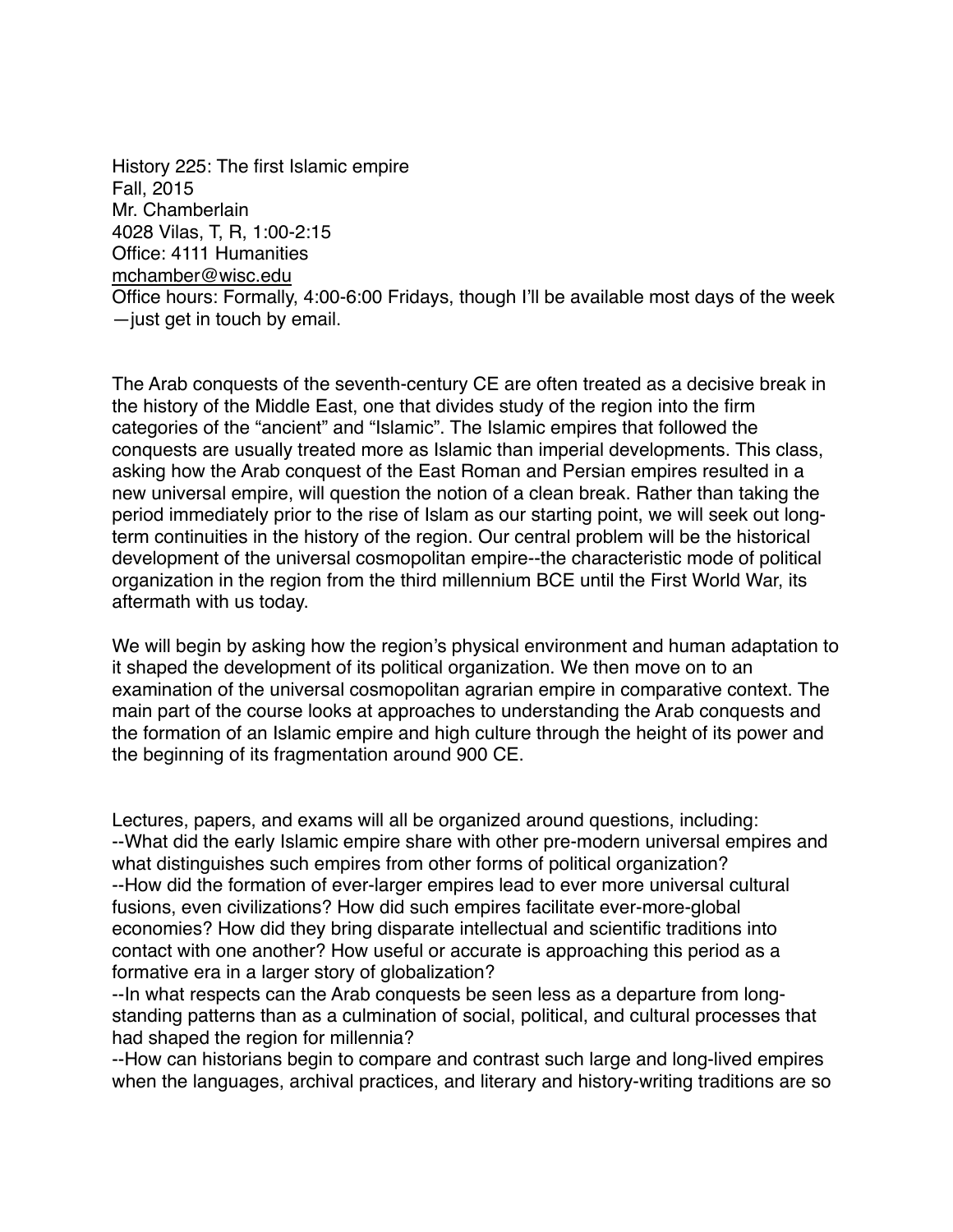History 225: The first Islamic empire Fall, 2015 Mr. Chamberlain 4028 Vilas, T, R, 1:00-2:15 Office: 4111 Humanities [mchamber@wisc.edu](mailto:mchamber@wisc.edu) Office hours: Formally, 4:00-6:00 Fridays, though I'll be available most days of the week —just get in touch by email.

The Arab conquests of the seventh-century CE are often treated as a decisive break in the history of the Middle East, one that divides study of the region into the firm categories of the "ancient" and "Islamic". The Islamic empires that followed the conquests are usually treated more as Islamic than imperial developments. This class, asking how the Arab conquest of the East Roman and Persian empires resulted in a new universal empire, will question the notion of a clean break. Rather than taking the period immediately prior to the rise of Islam as our starting point, we will seek out longterm continuities in the history of the region. Our central problem will be the historical development of the universal cosmopolitan empire--the characteristic mode of political organization in the region from the third millennium BCE until the First World War, its aftermath with us today.

We will begin by asking how the region's physical environment and human adaptation to it shaped the development of its political organization. We then move on to an examination of the universal cosmopolitan agrarian empire in comparative context. The main part of the course looks at approaches to understanding the Arab conquests and the formation of an Islamic empire and high culture through the height of its power and the beginning of its fragmentation around 900 CE.

Lectures, papers, and exams will all be organized around questions, including: --What did the early Islamic empire share with other pre-modern universal empires and what distinguishes such empires from other forms of political organization? --How did the formation of ever-larger empires lead to ever more universal cultural fusions, even civilizations? How did such empires facilitate ever-more-global economies? How did they bring disparate intellectual and scientific traditions into contact with one another? How useful or accurate is approaching this period as a formative era in a larger story of globalization?

--In what respects can the Arab conquests be seen less as a departure from longstanding patterns than as a culmination of social, political, and cultural processes that had shaped the region for millennia?

--How can historians begin to compare and contrast such large and long-lived empires when the languages, archival practices, and literary and history-writing traditions are so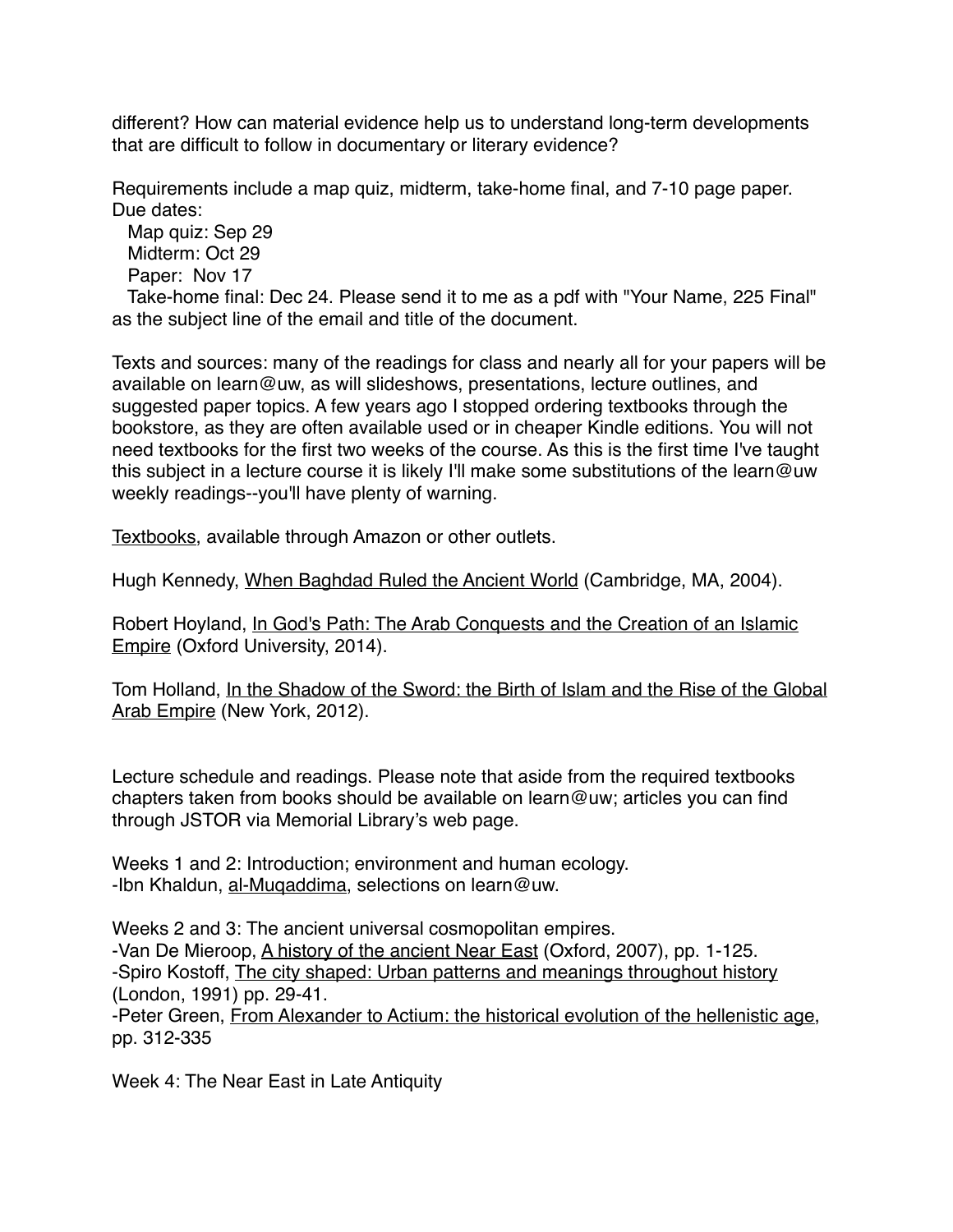different? How can material evidence help us to understand long-term developments that are difficult to follow in documentary or literary evidence?

Requirements include a map quiz, midterm, take-home final, and 7-10 page paper. Due dates:

 Map quiz: Sep 29 Midterm: Oct 29 Paper: Nov 17

 Take-home final: Dec 24. Please send it to me as a pdf with "Your Name, 225 Final" as the subject line of the email and title of the document.

Texts and sources: many of the readings for class and nearly all for your papers will be available on learn@uw, as will slideshows, presentations, lecture outlines, and suggested paper topics. A few years ago I stopped ordering textbooks through the bookstore, as they are often available used or in cheaper Kindle editions. You will not need textbooks for the first two weeks of the course. As this is the first time I've taught this subject in a lecture course it is likely I'll make some substitutions of the learn@uw weekly readings--you'll have plenty of warning.

Textbooks, available through Amazon or other outlets.

Hugh Kennedy, When Baghdad Ruled the Ancient World (Cambridge, MA, 2004).

Robert Hoyland, In God's Path: The Arab Conquests and the Creation of an Islamic Empire (Oxford University, 2014).

Tom Holland, In the Shadow of the Sword: the Birth of Islam and the Rise of the Global Arab Empire (New York, 2012).

Lecture schedule and readings. Please note that aside from the required textbooks chapters taken from books should be available on learn@uw; articles you can find through JSTOR via Memorial Library's web page.

Weeks 1 and 2: Introduction; environment and human ecology. -Ibn Khaldun, al-Muqaddima, selections on learn@uw.

Weeks 2 and 3: The ancient universal cosmopolitan empires. -Van De Mieroop, A history of the ancient Near East (Oxford, 2007), pp. 1-125. -Spiro Kostoff, The city shaped: Urban patterns and meanings throughout history (London, 1991) pp. 29-41. -Peter Green, From Alexander to Actium: the historical evolution of the hellenistic age, pp. 312-335

Week 4: The Near East in Late Antiquity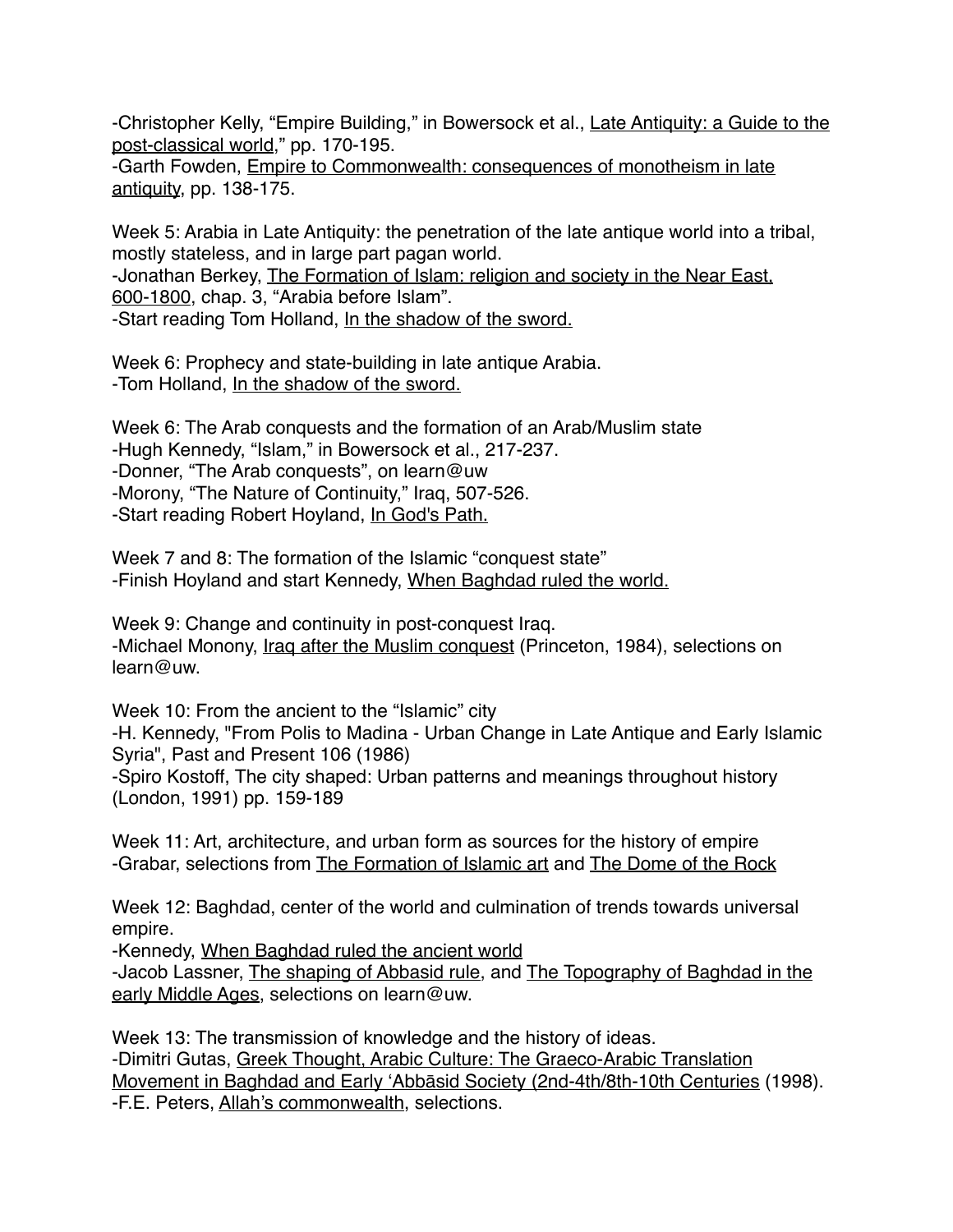-Christopher Kelly, "Empire Building," in Bowersock et al., Late Antiquity: a Guide to the post-classical world," pp. 170-195.

-Garth Fowden, Empire to Commonwealth: consequences of monotheism in late antiquity, pp. 138-175.

Week 5: Arabia in Late Antiquity: the penetration of the late antique world into a tribal, mostly stateless, and in large part pagan world.

-Jonathan Berkey, The Formation of Islam: religion and society in the Near East, 600-1800, chap. 3, "Arabia before Islam". -Start reading Tom Holland, In the shadow of the sword.

Week 6: Prophecy and state-building in late antique Arabia. -Tom Holland, In the shadow of the sword.

Week 6: The Arab conquests and the formation of an Arab/Muslim state -Hugh Kennedy, "Islam," in Bowersock et al., 217-237. -Donner, "The Arab conquests", on learn@uw -Morony, "The Nature of Continuity," Iraq, 507-526. -Start reading Robert Hoyland, In God's Path.

Week 7 and 8: The formation of the Islamic "conquest state" -Finish Hoyland and start Kennedy, When Baghdad ruled the world.

Week 9: Change and continuity in post-conquest Iraq. -Michael Monony, Iraq after the Muslim conquest (Princeton, 1984), selections on learn@uw.

Week 10: From the ancient to the "Islamic" city -H. Kennedy, "From Polis to Madina - Urban Change in Late Antique and Early Islamic Syria", Past and Present 106 (1986) -Spiro Kostoff, The city shaped: Urban patterns and meanings throughout history (London, 1991) pp. 159-189

Week 11: Art, architecture, and urban form as sources for the history of empire -Grabar, selections from The Formation of Islamic art and The Dome of the Rock

Week 12: Baghdad, center of the world and culmination of trends towards universal empire.

-Kennedy, When Baghdad ruled the ancient world

-Jacob Lassner, The shaping of Abbasid rule, and The Topography of Baghdad in the early Middle Ages, selections on learn@uw.

Week 13: The transmission of knowledge and the history of ideas. -Dimitri Gutas, Greek Thought, Arabic Culture: The Graeco-Arabic Translation Movement in Baghdad and Early ʻAbbāsid Society (2nd-4th/8th-10th Centuries (1998). -F.E. Peters, Allah's commonwealth, selections.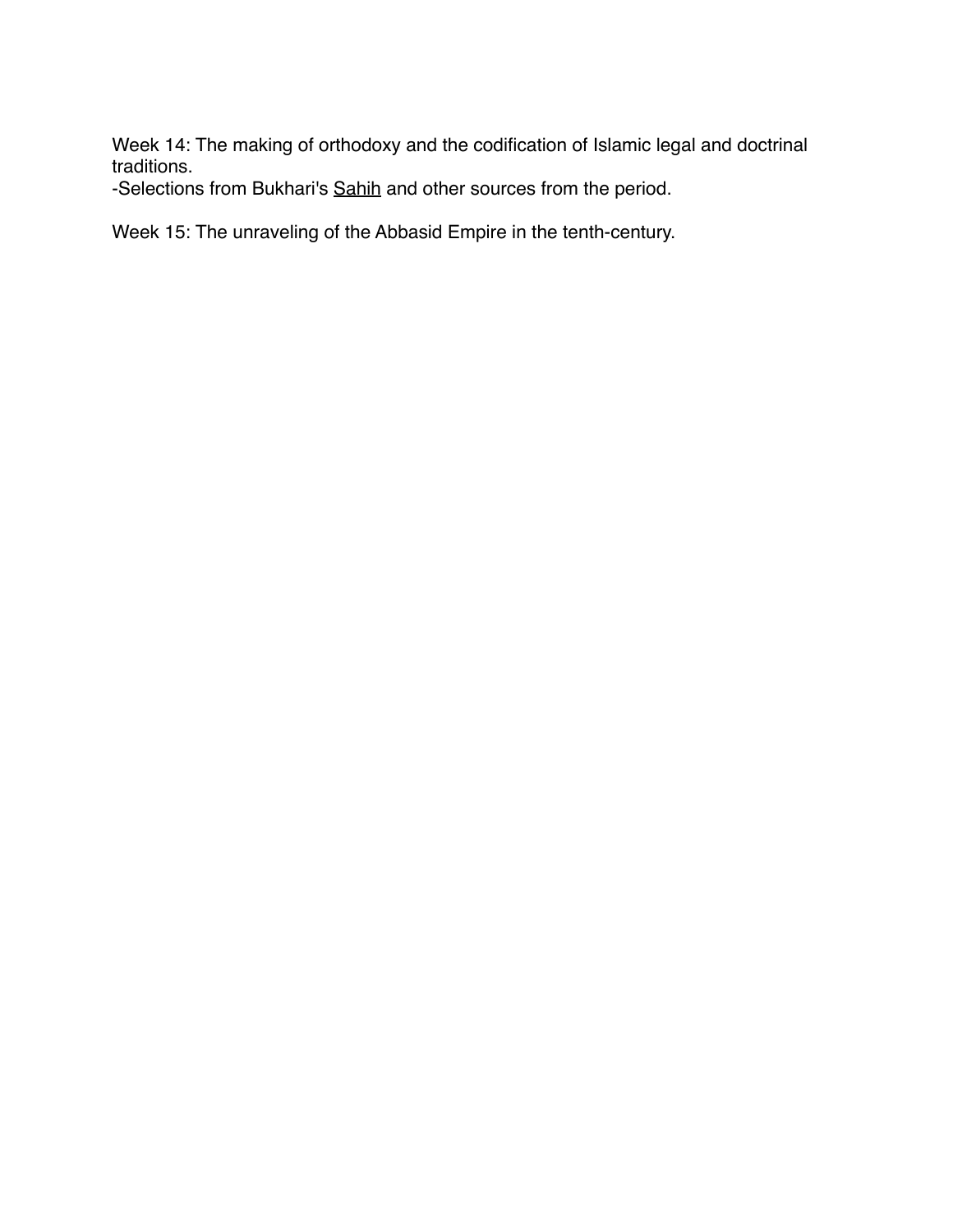Week 14: The making of orthodoxy and the codification of Islamic legal and doctrinal traditions.

-Selections from Bukhari's Sahih and other sources from the period.

Week 15: The unraveling of the Abbasid Empire in the tenth-century.